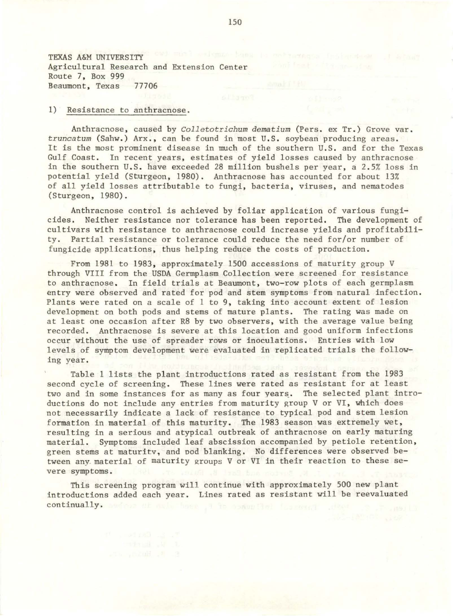TEXAS A&M UNIVERSITY Agricultural Research and Extension Center Route 7, Box 999 Beaumont, Texas 77706

## 1) Resistance to anthracnose.

Anthracnose, caused by *Colletotrichum dematium* (Pers. ex Tr.) Grove var. truncatum (Sahw.) Arx., can be found in most U.S. soybean producing areas. It is the most prominent disease in much of the southern U.S. and for the Texas Gulf Coast. In recent years, estimates of yield losses caused by anthracnose in the southern U.S. have exceeded 28 million bushels per year, a 2.5% loss in potential yield (Sturgeon, 1980). Anthracnose has accounted for about 13% of all yield losses attributable to fungi, bacteria, viruses, and nematodes (Sturgeon, 1980).

Anthracnose control is achieved by foliar application of various fungicides. Neither resistance nor tolerance has been reported. The development of cultivars with resistance to anthracnose could increase yields and profitability. Partial resistance or tolerance could reduce the need for/or number of fungicide applications, thus helping reduce the costs of production.

From 1981 to 1983, approximately 1500 accessions of maturity group V through VIII from the USDA Germplasm Collection were screened for resistance to anthracnose. In field trials at Beaumont, two-row plots of each germplasm entry were observed and rated for pod and stem symptoms from natural infection. Plants were rated on a scale of 1 to 9, taking into account extent of lesion development on both pods and stems of mature plants. The rating was made on at least one occasion after R8 by two observers, with the average value being recorded. Anthracnose is severe at this location and good uniform infections occur without the use of spreader rows or inoculations. Entries with low levels of symptom development were evaluated in replicated trials the following year.

Table 1 lists the plant introductions rated as resistant from the 1983 second cycle of screening. These lines were rated as resistant for at least two and in some instances for as many as four years. The selected plant introductions do not include any entries from maturity group V or VI, which does not necessarily indicate a lack of resistance to typical pod and stem lesion formation in material of this maturity. The 1983 season was extremely wet, resulting in a serious and atypical outbreak of anthracnose on early maturing material. Symptoms included leaf abscission accompanied by petiole retention, green stems at maturitv, and ood blanking. No differences were observed between any. material of maturity groups V or VI in their reaction to these severe symptoms.

This screening program will continue with approximately 500 new plant introductions added each year. Lines rated as resistant will be reevaluated continually. sedes of axis home it to computed fascend